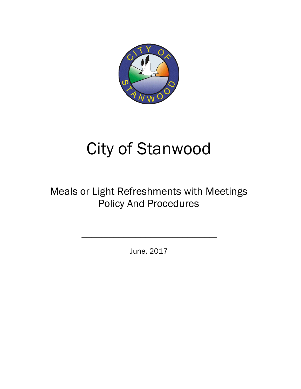

## City of Stanwood

## Meals or Light Refreshments with Meetings Policy And Procedures

June, 2017

\_\_\_\_\_\_\_\_\_\_\_\_\_\_\_\_\_\_\_\_\_\_\_\_\_\_\_\_\_\_\_\_\_\_\_\_\_\_\_\_\_\_\_\_\_\_\_\_\_\_\_\_\_\_\_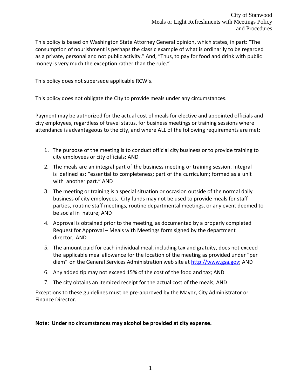This policy is based on Washington State Attorney General opinion, which states, in part: "The consumption of nourishment is perhaps the classic example of what is ordinarily to be regarded as a private, personal and not public activity." And, "Thus, to pay for food and drink with public money is very much the exception rather than the rule."

This policy does not supersede applicable RCW's.

This policy does not obligate the City to provide meals under any circumstances.

Payment may be authorized for the actual cost of meals for elective and appointed officials and city employees, regardless of travel status, for business meetings or training sessions where attendance is advantageous to the city, and where ALL of the following requirements are met:

- 1. The purpose of the meeting is to conduct official city business or to provide training to city employees or city officials; AND
- 2. The meals are an integral part of the business meeting or training session. Integral is defined as: "essential to completeness; part of the curriculum; formed as a unit with another part." AND
- 3. The meeting or training is a special situation or occasion outside of the normal daily business of city employees. City funds may not be used to provide meals for staff parties, routine staff meetings, routine departmental meetings, or any event deemed to be social in nature; AND
- 4. Approval is obtained prior to the meeting, as documented by a properly completed Request for Approval – Meals with Meetings form signed by the department director; AND
- 5. The amount paid for each individual meal, including tax and gratuity, does not exceed the applicable meal allowance for the location of the meeting as provided under "per diem" on the General Services Administration web site at http://www.gsa.gov; AND
- 6. Any added tip may not exceed 15% of the cost of the food and tax; AND
- 7. The city obtains an itemized receipt for the actual cost of the meals; AND

Exceptions to these guidelines must be pre-approved by the Mayor, City Administrator or Finance Director.

**Note: Under no circumstances may alcohol be provided at city expense.**